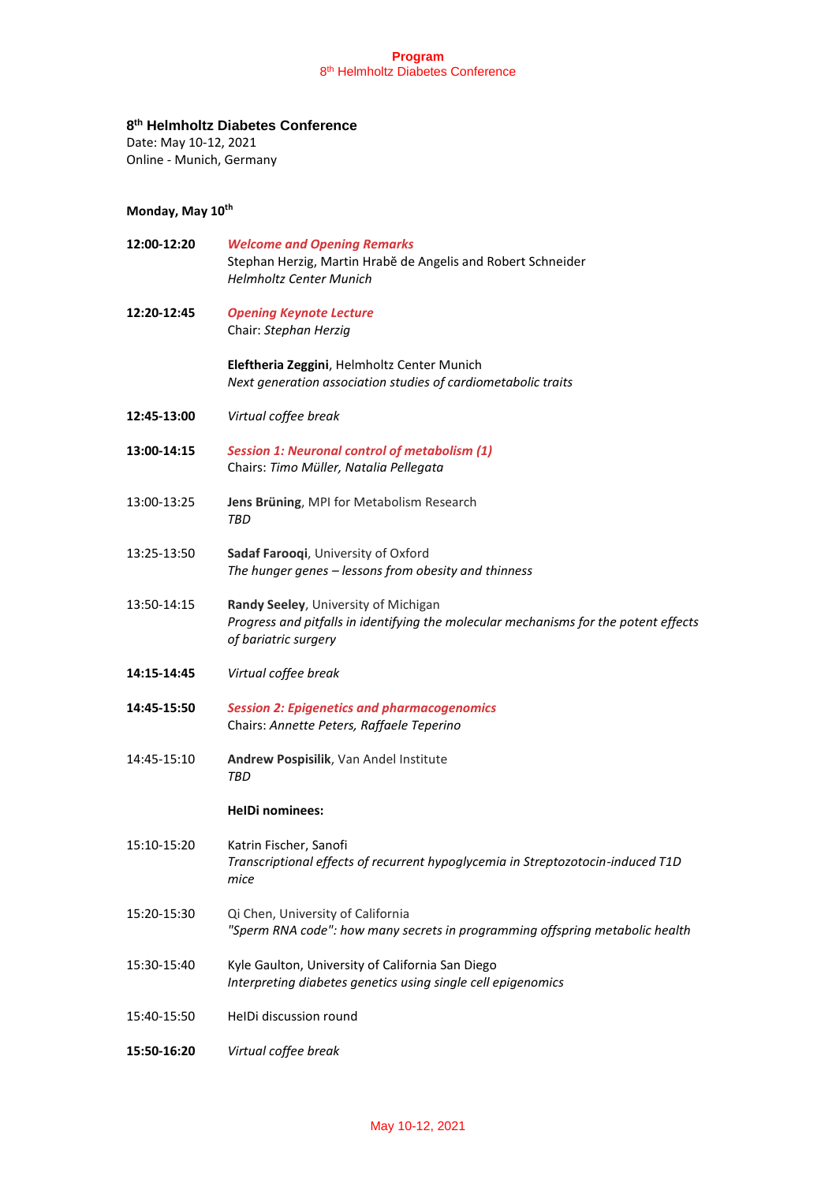### **8 th Helmholtz Diabetes Conference**

Date: May 10-12, 2021

Online - Munich, Germany

## **Monday, May 10th**

| 12:00-12:20 | <b>Welcome and Opening Remarks</b><br>Stephan Herzig, Martin Hrabě de Angelis and Robert Schneider<br><b>Helmholtz Center Munich</b>                 |
|-------------|------------------------------------------------------------------------------------------------------------------------------------------------------|
| 12:20-12:45 | <b>Opening Keynote Lecture</b><br>Chair: Stephan Herzig                                                                                              |
|             | Eleftheria Zeggini, Helmholtz Center Munich<br>Next generation association studies of cardiometabolic traits                                         |
| 12:45-13:00 | Virtual coffee break                                                                                                                                 |
| 13:00-14:15 | <b>Session 1: Neuronal control of metabolism (1)</b><br>Chairs: Timo Müller, Natalia Pellegata                                                       |
| 13:00-13:25 | Jens Brüning, MPI for Metabolism Research<br>TBD                                                                                                     |
| 13:25-13:50 | Sadaf Farooqi, University of Oxford<br>The hunger genes - lessons from obesity and thinness                                                          |
| 13:50-14:15 | Randy Seeley, University of Michigan<br>Progress and pitfalls in identifying the molecular mechanisms for the potent effects<br>of bariatric surgery |
| 14:15-14:45 | Virtual coffee break                                                                                                                                 |
| 14:45-15:50 | <b>Session 2: Epigenetics and pharmacogenomics</b><br>Chairs: Annette Peters, Raffaele Teperino                                                      |
| 14:45-15:10 | Andrew Pospisilik, Van Andel Institute<br>TBD                                                                                                        |
|             | <b>HelDi nominees:</b>                                                                                                                               |
| 15:10-15:20 | Katrin Fischer, Sanofi<br>Transcriptional effects of recurrent hypoglycemia in Streptozotocin-induced T1D<br>mice                                    |
| 15:20-15:30 | Qi Chen, University of California<br>"Sperm RNA code": how many secrets in programming offspring metabolic health                                    |
| 15:30-15:40 | Kyle Gaulton, University of California San Diego<br>Interpreting diabetes genetics using single cell epigenomics                                     |
| 15:40-15:50 | HeIDi discussion round                                                                                                                               |
| 15:50-16:20 | Virtual coffee break                                                                                                                                 |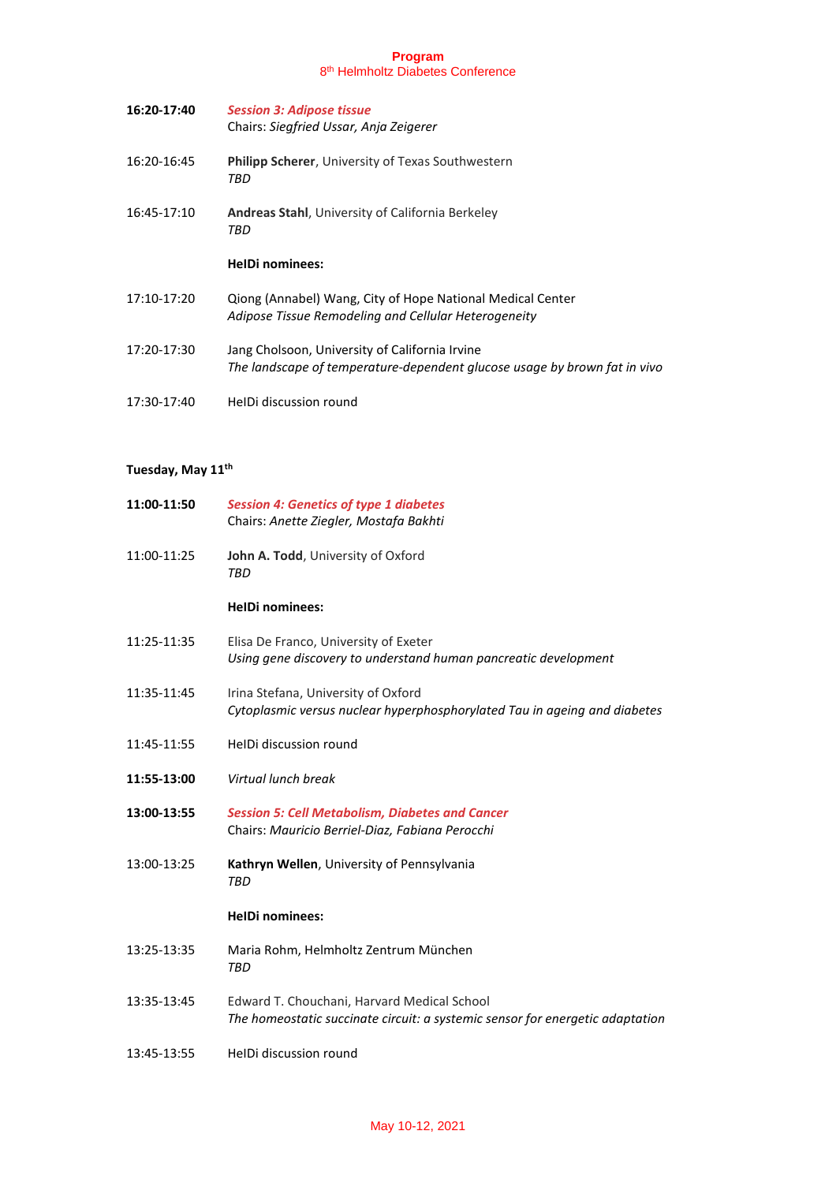| 16:20-17:40 | <b>Session 3: Adipose tissue</b><br>Chairs: Siegfried Ussar, Anja Zeigerer                                                  |
|-------------|-----------------------------------------------------------------------------------------------------------------------------|
| 16:20-16:45 | <b>Philipp Scherer, University of Texas Southwestern</b><br>TBD                                                             |
| 16:45-17:10 | <b>Andreas Stahl, University of California Berkeley</b><br>TBD                                                              |
|             | <b>HelDi nominees:</b>                                                                                                      |
|             |                                                                                                                             |
| 17:10-17:20 | Qiong (Annabel) Wang, City of Hope National Medical Center<br>Adipose Tissue Remodeling and Cellular Heterogeneity          |
| 17:20-17:30 | Jang Cholsoon, University of California Irvine<br>The landscape of temperature-dependent glucose usage by brown fat in vivo |

# **Tuesday, May 11th**

| 11:00-11:50 | <b>Session 4: Genetics of type 1 diabetes</b><br>Chairs: Anette Ziegler, Mostafa Bakhti                                      |
|-------------|------------------------------------------------------------------------------------------------------------------------------|
| 11:00-11:25 | John A. Todd, University of Oxford<br>TBD                                                                                    |
|             | <b>HelDi nominees:</b>                                                                                                       |
| 11:25-11:35 | Elisa De Franco, University of Exeter<br>Using gene discovery to understand human pancreatic development                     |
| 11:35-11:45 | Irina Stefana, University of Oxford<br>Cytoplasmic versus nuclear hyperphosphorylated Tau in ageing and diabetes             |
| 11:45-11:55 | HeIDi discussion round                                                                                                       |
| 11:55-13:00 | Virtual lunch break                                                                                                          |
| 13:00-13:55 | <b>Session 5: Cell Metabolism, Diabetes and Cancer</b><br>Chairs: Mauricio Berriel-Diaz, Fabiana Perocchi                    |
| 13:00-13:25 | Kathryn Wellen, University of Pennsylvania<br><b>TBD</b>                                                                     |
|             | <b>HelDi nominees:</b>                                                                                                       |
| 13:25-13:35 | Maria Rohm, Helmholtz Zentrum München<br>TBD                                                                                 |
| 13:35-13:45 | Edward T. Chouchani, Harvard Medical School<br>The homeostatic succinate circuit: a systemic sensor for energetic adaptation |
| 13:45-13:55 | HeIDi discussion round                                                                                                       |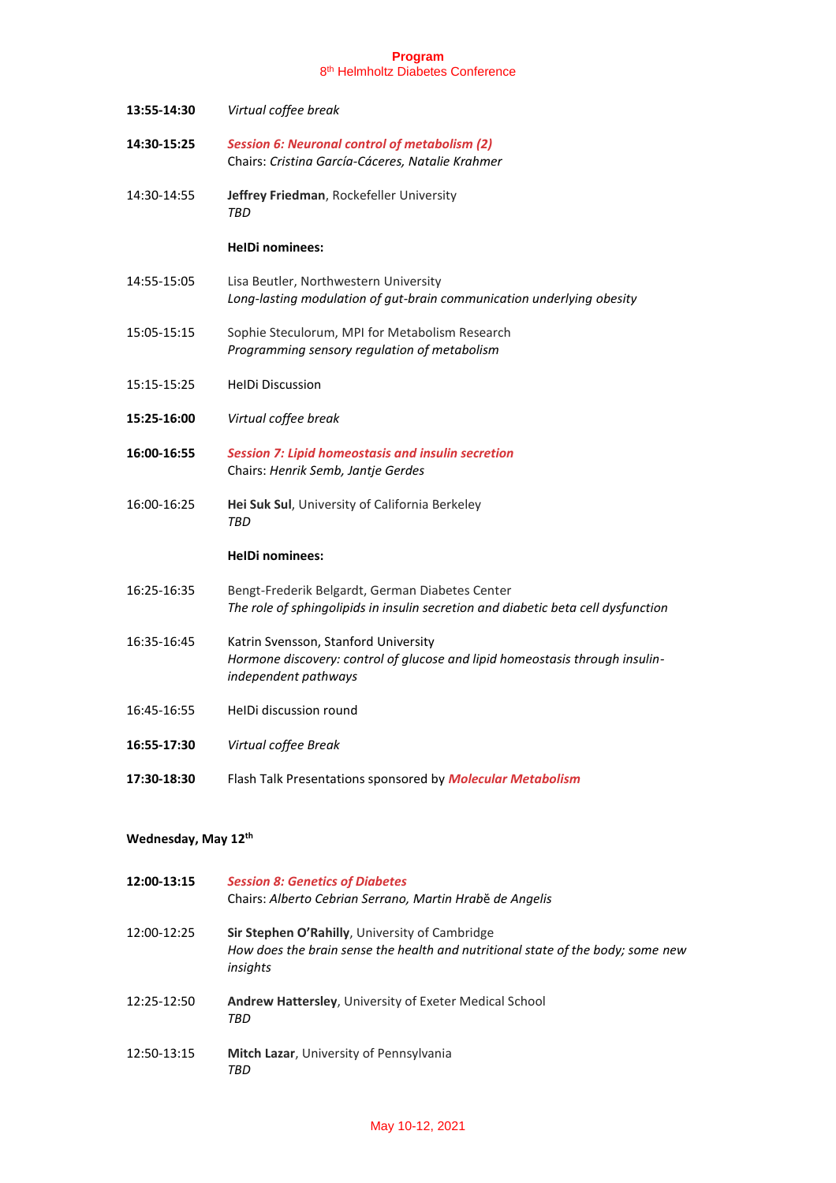| 13:55-14:30 | Virtual coffee break                                                                                                                         |
|-------------|----------------------------------------------------------------------------------------------------------------------------------------------|
| 14:30-15:25 | <b>Session 6: Neuronal control of metabolism (2)</b><br>Chairs: Cristina García-Cáceres, Natalie Krahmer                                     |
| 14:30-14:55 | Jeffrey Friedman, Rockefeller University<br>TRD                                                                                              |
|             | <b>HelDi nominees:</b>                                                                                                                       |
| 14:55-15:05 | Lisa Beutler, Northwestern University<br>Long-lasting modulation of gut-brain communication underlying obesity                               |
| 15:05-15:15 | Sophie Steculorum, MPI for Metabolism Research<br>Programming sensory regulation of metabolism                                               |
| 15:15-15:25 | <b>HelDi Discussion</b>                                                                                                                      |
| 15:25-16:00 | Virtual coffee break                                                                                                                         |
| 16:00-16:55 | <b>Session 7: Lipid homeostasis and insulin secretion</b><br>Chairs: Henrik Semb, Jantje Gerdes                                              |
| 16:00-16:25 | Hei Suk Sul, University of California Berkeley<br>TBD                                                                                        |
|             | <b>HelDi nominees:</b>                                                                                                                       |
| 16:25-16:35 | Bengt-Frederik Belgardt, German Diabetes Center<br>The role of sphingolipids in insulin secretion and diabetic beta cell dysfunction         |
| 16:35-16:45 | Katrin Svensson, Stanford University<br>Hormone discovery: control of glucose and lipid homeostasis through insulin-<br>independent pathways |
| 16:45-16:55 | HelDi discussion round                                                                                                                       |
| 16:55-17:30 | Virtual coffee Break                                                                                                                         |
| 17:30-18:30 | Flash Talk Presentations sponsored by Molecular Metabolism                                                                                   |

# **Wednesday, May 12th**

| 12:00-13:15 | <b>Session 8: Genetics of Diabetes</b><br>Chairs: Alberto Cebrian Serrano, Martin Hrabě de Angelis                                                   |
|-------------|------------------------------------------------------------------------------------------------------------------------------------------------------|
| 12:00-12:25 | <b>Sir Stephen O'Rahilly, University of Cambridge</b><br>How does the brain sense the health and nutritional state of the body; some new<br>insights |
| 12:25-12:50 | <b>Andrew Hattersley, University of Exeter Medical School</b><br>TBD                                                                                 |
| 12:50-13:15 | <b>Mitch Lazar, University of Pennsylvania</b><br>TRD                                                                                                |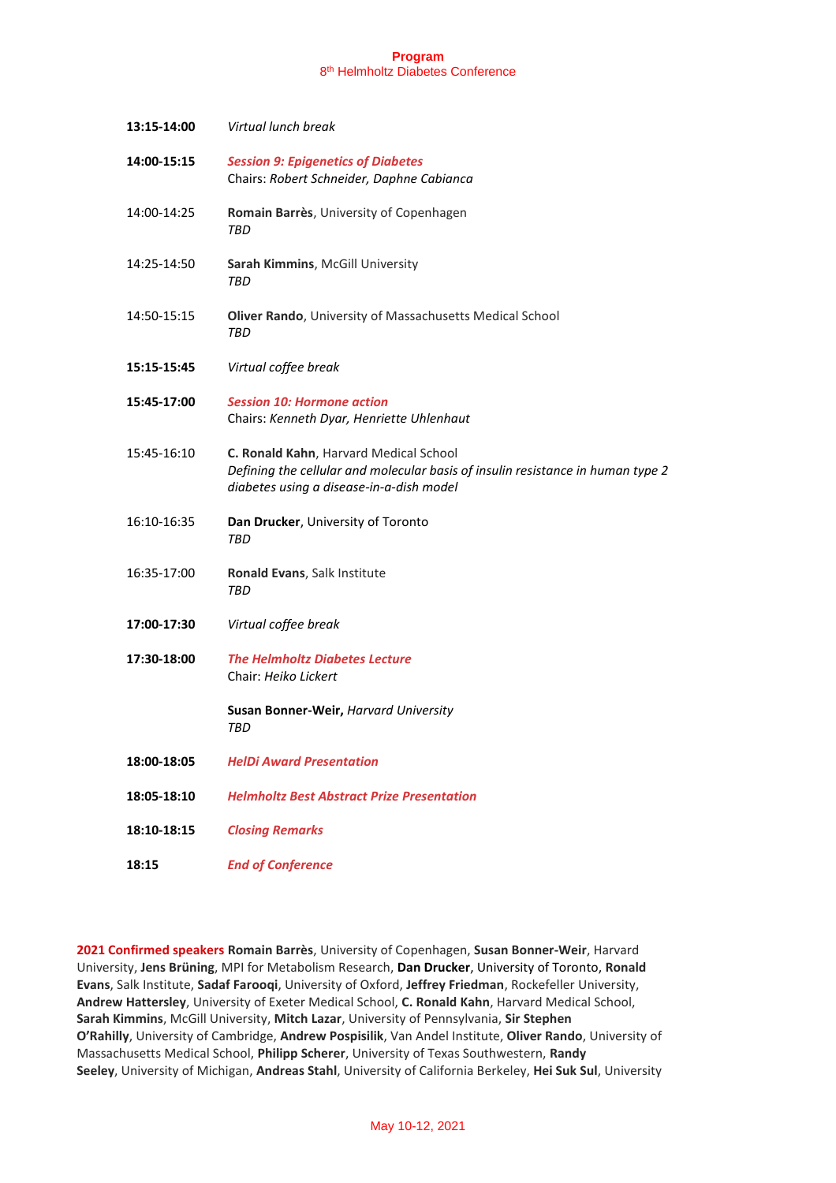| 13:15-14:00 | Virtual lunch break                                                                                                                                                   |
|-------------|-----------------------------------------------------------------------------------------------------------------------------------------------------------------------|
| 14:00-15:15 | <b>Session 9: Epigenetics of Diabetes</b><br>Chairs: Robert Schneider, Daphne Cabianca                                                                                |
| 14:00-14:25 | Romain Barrès, University of Copenhagen<br>TBD                                                                                                                        |
| 14:25-14:50 | Sarah Kimmins, McGill University<br>TBD                                                                                                                               |
| 14:50-15:15 | Oliver Rando, University of Massachusetts Medical School<br>TBD                                                                                                       |
| 15:15-15:45 | Virtual coffee break                                                                                                                                                  |
| 15:45-17:00 | <b>Session 10: Hormone action</b><br>Chairs: Kenneth Dyar, Henriette Uhlenhaut                                                                                        |
| 15:45-16:10 | C. Ronald Kahn, Harvard Medical School<br>Defining the cellular and molecular basis of insulin resistance in human type 2<br>diabetes using a disease-in-a-dish model |
| 16:10-16:35 | Dan Drucker, University of Toronto<br><b>TBD</b>                                                                                                                      |
| 16:35-17:00 | Ronald Evans, Salk Institute<br><b>TBD</b>                                                                                                                            |
| 17:00-17:30 | Virtual coffee break                                                                                                                                                  |
| 17:30-18:00 | <b>The Helmholtz Diabetes Lecture</b><br>Chair: Heiko Lickert                                                                                                         |
|             | Susan Bonner-Weir, Harvard University<br>TBD                                                                                                                          |
| 18:00-18:05 | <b>HelDi Award Presentation</b>                                                                                                                                       |
| 18:05-18:10 | <b>Helmholtz Best Abstract Prize Presentation</b>                                                                                                                     |
| 18:10-18:15 | <b>Closing Remarks</b>                                                                                                                                                |
| 18:15       | <b>End of Conference</b>                                                                                                                                              |

**2021 Confirmed speakers Romain Barrès**, University of Copenhagen, **Susan Bonner-Weir**, Harvard University, **Jens Brüning**, MPI for Metabolism Research, **Dan Drucker**, University of Toronto, **Ronald Evans**, Salk Institute, **Sadaf Farooqi**, University of Oxford, **Jeffrey Friedman**, Rockefeller University, **Andrew Hattersley**, University of Exeter Medical School, **C. Ronald Kahn**, Harvard Medical School, **Sarah Kimmins**, McGill University, **Mitch Lazar**, University of Pennsylvania, **Sir Stephen O'Rahilly**, University of Cambridge, **Andrew Pospisilik**, Van Andel Institute, **Oliver Rando**, University of Massachusetts Medical School, **Philipp Scherer**, University of Texas Southwestern, **Randy Seeley**, University of Michigan, **Andreas Stahl**, University of California Berkeley, **Hei Suk Sul**, University